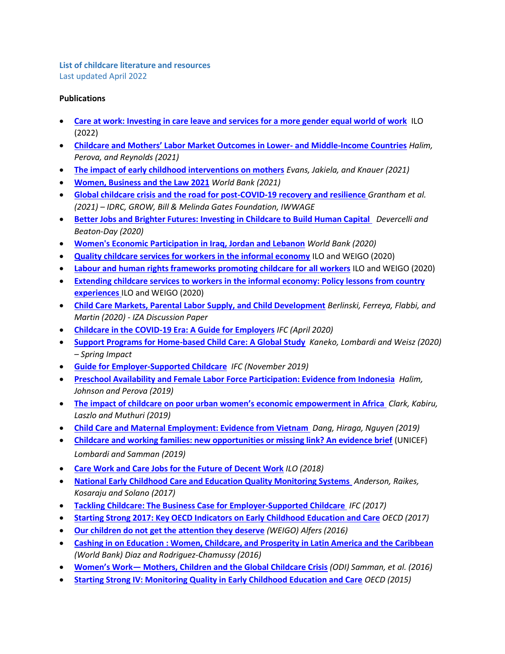## **List of childcare literature and resources** Last updated April 2022

## **Publications**

- **[Care at work: Investing in care leave and services for a more gender equal world of work](https://www.ilo.org/global/topics/care-economy/WCMS_838653/lang--it/index.htm)** ILO (2022)
- **[Childcare and Mothers' Labor Market Outcomes in Lower](https://openknowledge.worldbank.org/handle/10986/36479)- and Middle-Income Countries** *Halim, Perova, and Reynolds (2021)*
- **[The impact of early childhood interventions on mothers](https://www.science.org/doi/full/10.1126/science.abg0132)** *Evans, Jakiela, and Knauer (2021)*
- **[Women, Business and the Law 2021](https://wbl.worldbank.org/en/reports)** *World Bank (2021)*
- **[Global childcare crisis and the road for post-COVID-19 recovery and resilience](https://docs.gatesfoundation.org/documents/evidence_review_of_the_global_childcare_crisis_and_the_road_ahead_for_covid-19_recovery_and_resilience_english.pdf)** *Grantham et al. (2021) – IDRC, GROW, Bill & Melinda Gates Foundation, IWWAGE*
- **[Better Jobs and Brighter Futures: Investing in Childcare to Build Human Capital](https://openknowledge.worldbank.org/handle/10986/35062)** *Devercelli and Beaton-Day (2020)*
- **[Women's Economic Participation in Iraq, Jordan and Lebanon](http://hdl.handle.net/10986/34535)** *World Bank (2020)*
- **[Quality childcare services for workers in the informal economy](https://www.wiego.org/sites/default/files/publications/file/PB01_Quality_Childcare_Svs_EN_ILO-WIEGO.pdf)** ILO and WEIGO (2020)
- **[Labour and human rights frameworks promoting childcare for all workers](https://www.wiego.org/sites/default/files/publications/file/PB02_Labour_Human_Rights_Frameworks_Childcare_EN_ILO-WIEGO.pdf)** ILO and WEIGO (2020)
- **[Extending childcare services to workers in the informal economy: Policy lessons from country](https://www.ilo.org/global/WCMS_737555/lang--en/index.htm)  [experiences](https://www.ilo.org/global/WCMS_737555/lang--en/index.htm)** ILO and WEIGO (2020)
- **[Child Care Markets, Parental Labor Supply, and Child Development](https://www.iza.org/publications/dp/12904/child-care-markets-parental-labor-supply-and-child-development)** *Berlinski, Ferreya, Flabbi, and Martin (2020) - IZA Discussion Paper*
- **[Childcare in the COVID-19 Era: A Guide for Employers](https://www.ifc.org/wps/wcm/connect/2e12d33a-ce55-46b2-aae5-ee8304a6506a/202004-Childcare-COVID-19-Guide-for-Employers+B.pdf?MOD=AJPERES&CVID=ncQxRT9)** *IFC (April 2020)*
- **[Support Programs for Home-based Child Care: A Global Study](https://www.springimpact.org/wp-content/uploads/2020/10/Support-Programs-for-HBCC-A-Global-Study_ExecSummary.pdf)** *Kaneko, Lombardi and Weisz (2020) – Spring Impact*
- **[Guide for Employer-Supported Childcare](https://www.ifc.org/wps/wcm/connect/topics_ext_content/ifc_external_corporate_site/gender+at+ifc/resources/guide+for+employer-supported+childcare)** *IFC (November 2019)*
- **[Preschool Availability and Female Labor Force Participation: Evidence from Indonesia](https://openknowledge.worldbank.org/handle/10986/31980)** *Halim, Johnson and Perova (2019)*
- **[The impact of childcare on poor urban women's economic empowerment in Africa](https://read.dukeupress.edu/demography/article/56/4/1247/168034/The-Impact-of-Childcare-on-Poor-Urban-Women-s)** *Clark, Kabiru, Laszlo and Muthuri (2019)*
- **[Child Care and Maternal Employment: Evidence from Vietnam](http://ftp.iza.org/dp12814.pdf)** *Dang, Hiraga, Nguyen (2019)*
- **[Childcare and working families: new opportunities or missing link? An evidence brief](https://www.unicef.org/sites/default/files/2019-07/UNICEF-Childcare%20-Family-Friendly-Policies-2019.pdf)** (UNICEF) *Lombardi and Samman (2019)*
- **[Care Work and Care Jobs for the Future of Decent Work](https://www.ilo.org/global/publications/books/WCMS_633135/lang--en/index.htm)** *ILO (2018)*
- **[National Early Childhood Care and Education Quality Monitoring Systems](https://www.brookings.edu/research/national-early-childhood-care-and-education-quality-monitoring-systems/)** *Anderson, Raikes, Kosaraju and Solano (2017)*
- **[Tackling Childcare: The Business Case for Employer-Supported Childcare](https://www.ifc.org/wps/wcm/connect/cd79e230-3ee2-46ae-adc5-e54d3d649f31/01817+WB+Childcare+Report_FinalWeb3.pdf?MOD=AJPERES&CVID=lXu9vP-)** *IFC (2017)*
- **[Starting Strong 2017: Key OECD Indicators on Early Childhood Education and Care](https://www.oecd.org/education/starting-strong-2017-9789264276116-en.htm)** *OECD (2017)*
- **[Our children do not get the attention they deserve](https://www.wiego.org/publications/our-children-do-not-get-attention-they-deserve)** *(WEIGO) Alfers (2016)*
- **[Cashing in on Education : Women, Childcare, and Prosperity in Latin America and the Caribbean](https://openknowledge.worldbank.org/handle/10986/25082)** *(World Bank) Diaz and Rodriguez-Chamussy (2016)*
- **Women's Work— [Mothers, Children and the Global Childcare Crisis](https://www.odi.org/publications/10349-women-s-work-mothers-children-and-global-childcare-crisis)** *(ODI) Samman, et al. (2016)*
- **[Starting Strong IV: Monitoring Quality in Early Childhood Education and Care](https://www.oecd.org/publications/starting-strong-iv-9789264233515-en.htm)** *OECD (2015)*